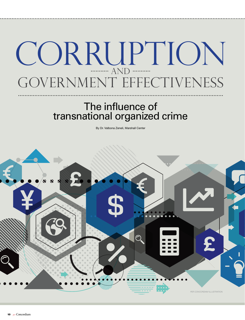# CORRUPTION ........ AND .. GOVERNMENT EFFECTIVENESS

# The influence of transnational organized crime

By Dr. Valbona Zeneli, Marshall Center

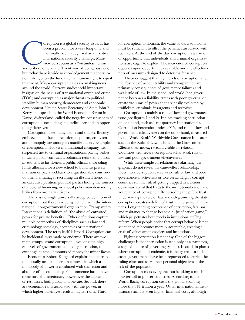orruption is a global security issue. It has been a problem for a very long time and has finally been recognized as a first-tier international security challenge. Many view corruption as a "victimless" crime and bribery on been a problem for a very long time and has finally been recognized as a first-tier international security challenge. Many view corruption as a "victimless" crime but today there is wide acknowledgement that corruption infringes on the fundamental human right to equal treatment. Major corruption cases are making news around the world. Current studies yield important insights on the nexus of transnational organized crime (TOC) and corruption as major threats to political stability, human security, democracy and economic development. United States Secretary of State John F. Kerry, in a speech to the World Economic Forum in Davos, Switzerland, called the negative consequences of corruption a social danger, a radicalizer and an opportunity destroyer.

Corruption takes many forms and shapes. Bribery, embezzlement, fraud, extortion, nepotism, cronyism and monopoly are among its manifestations. Examples of corruption include a multinational company, with suspected ties to criminal organizations, paying bribes to win a public contract; a politician redirecting public investment to his clients; a public official embezzling funds allocated for a new school to build his private mansion or pay a kickback to a questionable construction firm; a manager recruiting an ill-suited friend for an executive position; political parties hiding the sources of electoral financing; or a local policeman demanding bribes from ordinary citizens.

There is no single universally accepted definition of corruption, but there is wide agreement with the international, nongovernmental organization Transparency International's definition of "the abuse of entrusted power for private benefits." Other definitions capture multiple perspectives of disciplines such as law and criminology, sociology, economics or international development. The term itself is broad. Corruption can be incidental, systematic or endemic. There are two main groups: grand corruption, involving the highest levels of government, and petty corruption, the exchange of small amounts of money for minor favors.

Economist Robert Klitgaard explains that corruption usually occurs in certain contexts in which a monopoly of power is combined with discretion and absence of accountability. First, someone has to have some sort of discretionary power over the allocation of resources, both public and private. Second, there are economic rents associated with this power, in which higher incentives result in higher rents. Third,

for corruption to flourish, the value of derived income must be sufficient to offset the penalties associated with such acts. At the end of the day, corruption is a crime of opportunity that individuals and criminal organizations are eager to exploit. The incidence of corruption depends upon opportunities available and the effectiveness of measures designed to deter malfeasance.

Theories suggest that high levels of corruption and the absence of accountability and transparency are primarily consequences of governance failures and weak rule of law. In the globalized world, bad governance becomes a liability. Areas with poor governance create vacuums of power that are easily exploited by traffickers, criminals, insurgents and terrorists.

Corruption is mainly a rule of law and governance issue (see figures 1 and 2). Indices tracking corruption on one hand, such as Transparency International's Corruption Perception Index 2015, and rule of law and government effectiveness on the other hand, measured by the World Bank's Worldwide Governance Indicators such as the Rule of Law index and the Government Effectiveness index, reveal a visible correlation: Countries with severe corruption suffer weak rule of law and poor government effectiveness.

While these simple correlations are alarming, the graphics do not reveal the cause-effect relationship. Does more corruption cause weak rule of law and poor governance effectiveness or vice versa? Highly corrupt countries run the risk of getting trapped in a vicious downward spiral that leads to the institutionalization and acceptance of corruption. By corroding the public trust, undermining the rule of law and delegitimizing the state, corruption creates a deficit of trust in interpersonal relations. Longstanding acceptance of corruption, fatalism and resistance to change become a "justification game," which perpetuates bottlenecks in institutions, stalling reform. When people notice that corrupt behavior is not sanctioned, it becomes morally acceptable, creating a crisis of values among society and institutions.

Fighting corruption is not easy. One of the biggest challenges is that corruption is seen only as a symptom, a sign of failure of governing systems. Instead, in places where corruption is endemic, it is the system. In such cases, governments have been repurposed to enrich the ruling elites and serve their personal objectives at the risk of the population.

Corruption costs everyone, but is taking a much heavier toll in poorer countries. According to the World Bank, corruption costs the global economy more than \$1 trillion a year. Other international institutions estimate even higher financial costs, although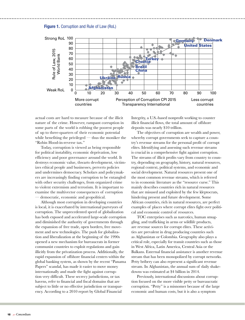



actual costs are hard to measure because of the illicit nature of the crime. However, rampant corruption in some parts of the world is robbing the poorest people of up to three-quarters of their economic potential while benefiting the privileged  $-$  thus the moniker the "Robin Hood-in-reverse tax."

Today, corruption is viewed as being responsible for political instability, economic deprivation, low efficiency and poor governance around the world. It destroys economic value, thwarts development, victimizes ethical people and businesses, perverts policies and undermines democracy. Scholars and policymakers are increasingly finding corruption to be entangled with other security challenges, from organized crime to violent extremism and terrorism. It is important to examine the multivector consequences of corruption democratic, economic and geopolitical.

Although most corruption in developing countries is local, it is exacerbated by international purveyors of corruption. The unprecedented speed of globalization has both exposed and accelerated large-scale corruption and diminished the authority of governments through the expansion of free trade, open borders, free movement and new technologies. The push for globalization and liberalization at the beginning of the 1990s opened a new mechanism for bureaucrats in former communist countries to exploit regulations and gain illicitly from the privatization process. Additionally, the rapid expansion of offshore financial centers within the global banking system, as shown by the recent "Panama Papers" scandal, has made it easier to move money internationally and made the fight against corruption very difficult. These secrecy jurisdictions, or tax havens, refer to financial and fiscal domains that are subject to little or no effective jurisdiction or transparency. According to a 2010 report by Global Financial

Integrity, a U.S.-based nonprofit working to counter illicit financial flows, the total amount of offshore deposits was nearly \$10 trillion.

The objectives of corruption are wealth and power, whereby corrupt governments seek to capture a country's revenue streams for the personal profit of corrupt elites. Identifying and assessing such revenue streams is crucial in a comprehensive fight against corruption. The streams of illicit profits vary from country to country, depending on geography, history, natural resources, regional context, political systems, and economic and social development. Natural resources present one of the most common revenue streams, which is referred to in economic literature as the "resource curse." This mainly describes countries rich in natural resources that are misused and exploited by the few kleptocrats, hindering present and future development. Some African countries, rich in natural resources, are perfect examples of places where corrupt elites fight over political and economic control of resources.

TOC enterprises such as narcotics, human smuggling, and trafficking in arms or wildlife products, are revenue sources for corrupt elites. These activities are prevalent in drug producing countries such as Afghanistan or Colombia. Geography also plays a critical role, especially for transit countries such as those in West Africa, Latin America, Central Asia or the Balkans. External financial assistance is another revenue stream that has been monopolized by corrupt networks. Petty bribery can also represent a significant revenue stream. In Afghanistan, the annual sum of daily shakedowns was estimated at \$4 billion in 2014.

Previously, international discussions about corruption focused on the more visible petty or bureaucratic corruption. "Petty" is a misnomer because of the large economic and human costs, but it is also a symptom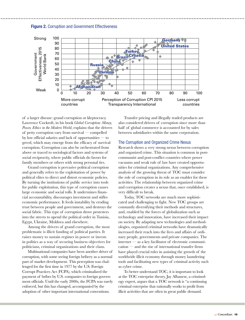



of a larger disease: grand corruption or kleptocracy. Lawrence Cockroft, in his book *Global Corruption: Money, Power, Ethics in the Modern World*, explains that the drivers of petty corruption vary from survival — compelled by low official salaries and lack of opportunities — to greed, which may emerge from the efficacy of survival corruption. Corruption can also be orchestrated from above or traced to sociological factors and systems of social reciprocity, where public officials do favors for family members or others with strong personal ties.

Grand corruption is pervasive political corruption and generally refers to the exploitation of power by political elites to direct and distort economic policies. By turning the institutions of public service into tools for public exploitation, this type of corruption causes large economic and social tolls. It undermines financial accountability, discourages investment and stifles economic performance. It feeds instability by eroding trust between people and government, and destroys the social fabric. This type of corruption drove protesters into the streets to upend the political order in Tunisia, Egypt, Ukraine, Moldova and elsewhere.

Among the drivers of grand corruption, the most problematic is illicit funding of political parties. It raises money to sustain regimes in power or invests in politics as a way of securing business objectives for politicians, criminal organizations and their clans.

Multinational companies have been another driver of corruption, with some seeing foreign bribery as a normal part of market development. This perception was challenged for the first time in 1977 by the U.S. Foreign Corrupt Practices Act (FCPA), which criminalized the payment of bribes by U.S. companies to foreign government officials. Until the early 2000s, the FCPA was rarely enforced, but this has changed, accompanied by the adoption of other important international conventions.

Transfer pricing and illegally traded products are also considered drivers of corruption since more than half of global commerce is accounted for by sales between subsidiaries within the same corporation.

#### The Corruption and Organized Crime Nexus

Research shows a very strong nexus between corruption and organized crime. This situation is common in postcommunist and post-conflict countries where power vacuums and weak rule of law have created opportunities for criminal organizations. Any comprehensive analysis of the growing threat of TOC must consider the role of corruption in its role as an enabler for these activities. The relationship between organized crime and corruption creates a nexus that, once established, is very difficult to break.

Today, TOC networks are much more sophisticated and challenging to fight. New TOC groups are constantly diversifying their methods and structures, and, enabled by the forces of globalization such as technology and innovation, have increased their impact on society. By adapting new technologies and methodologies, organized criminal networks have dramatically increased their reach into the lives and affairs of ordinary people, governments and private companies. The internet — as a key facilitator of electronic communication — and the rise of international transfer firms have played crucial roles in assisting the growth of the worldwide illicit economy through money laundering tools and facilitating new types of criminal activity such as cyber crime.

To better understand TOC, it is important to look at the TOC enterprise theory. Jay Albanese, a criminology expert, argues that a TOC network is "a continuing criminal enterprise that rationally works to profit from illicit activities that are often in great public demand.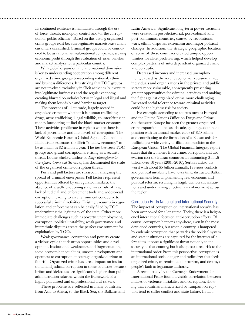Its continued existence is maintained through the use of force, threats, monopoly control and/or the corruption of public officials." Based on this theory, organized crime groups exist because legitimate markets leave many customers unsatisfied. Criminal groups could be considered to be as rational as multinational companies, seeking economic profit through the evaluation of risks, benefits and market analysis for a particular country.

With global expansion, the international dimension is key to understanding cooperation among different organized crime groups transcending national, ethnic and business differences. It is striking that TOC groups are not involved exclusively in illicit activities, but venture into legitimate businesses and the regular economy, creating blurred boundaries between legal and illegal and making them less visible and harder to target.

The proceeds of illicit trade, largely rooted in organized crime — whether it is human trafficking, drugs, arms trafficking, illegal wildlife, counterfeiting or money laundering — fuel the black-market economy. These activities proliferate in regions where there is lack of governance and high levels of corruption. The World Economic Forum's Global Agenda Council on Illicit Trade estimates the illicit "shadow economy" to be as much as \$2 trillion a year. The ties between TOC groups and grand corruption are rising as a security threat. Louise Shelley, author of *Dirty Entanglements: Corruption, Crime and Terrorism*, has documented the scale of the organized crime-corruption threat.

Push and pull factors are stressed in analyzing the spread of criminal enterprises. Pull factors represent opportunities offered by unregulated markets, the absence of a well-functioning state, weak rule of law, lack of judicial and enforcement tools and widespread corruption, leading to an environment conducive to successful criminal activities. Existing vacuums in regulation and enforcement can be easily filled by TOC, undermining the legitimacy of the state. Other more immediate challenges such as poverty, unemployment, corruption, political instability, weak governance and interethnic disputes create the perfect environment for exploitation by TOCs.

Weak governance, corruption and poverty create a vicious cycle that destroys opportunities and development. Institutional weaknesses and fragmentation, socio-economic inequalities, uneven development and openness to corruption encourage organized crime to flourish. Organized crime has a real impact on institutional and judicial corruption in some countries because bribes and kickbacks are significantly higher than public administration salaries, within the framework of a highly politicized and unprofessional civil service.

These problems are reflected in many countries, from Asia to Africa, to the Black Sea, the Balkans and Latin America. Significant long-term power vacuums were created in post-dictatorial, post-colonial and post-communist countries, caused by revolutions, wars, ethnic disputes, extremism and major political changes. In addition, the strategic geographic location of some of these countries created unique opportunities for illicit profiteering, which helped develop complex patterns of interdependent organized crime and corruption.

Decreased incomes and increased unemployment, caused by the recent economic recession, made individuals and organizations in the private and public sectors more vulnerable, consequently presenting greater opportunities for criminal activities and making the fight against organized crime more challenging. Increased social tolerance toward criminal activities could be the highest risk for society.

For example, according to sources such as Europol and the United Nations Office on Drugs and Crime, Southeastern Europe has seen the greatest organized crime expansion in the last decade, gaining a dominant position with an annual market value of \$20 billion and contributing to the formation of a Balkan axis for trafficking a wide variety of illicit commodities to the European Union. The Global Financial Integrity report states that dirty money from crime, corruption and tax evasion cost the Balkan countries an astounding \$111.6 billion over 10 years (2001-2010); Serbia ranked the worst with about \$5 billion annually. Previous conflicts and political instability have, over time, distracted Balkan governments from implementing real economic and political reforms, resulting in fragile democratic institutions and undermining effective law enforcement across the region.

## Corruption Hurts National and International Security

The impact of corruption on international security has been overlooked for a long time. Today, there is a heightened international focus on anti-corruption efforts. Of course, corruption happens anywhere, even in the most developed countries, but when a country is hampered by endemic corruption that pervades the political system and state institutions are captured for the interests of a few elites, it poses a significant threat not only to the security of that country, but it also poses a real risk to the international order. From this perspective, corruption is an international social danger and radicalizer that feeds organized crime, extremism and terrorism, and destroys people's faith in legitimate authority.

A recent study by the Carnegie Endowment for International Peace found a visible correlation between indices of violence, instability and corruption, showing that countries characterized by rampant corruption tend to suffer conflict and state failure. In fact,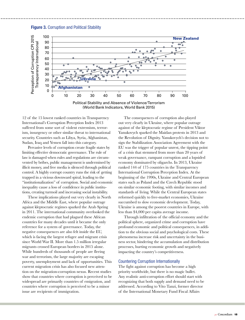

(World Bank Indicators, World Bank 2015)

12 of the 15 lowest ranked countries in Transparency International's Corruption Perception Index 2013 suffered from some sort of violent extremism, terrorism, insurgency or other similar threat to international security. Countries such as Libya, Syria, Afghanistan, Sudan, Iraq and Yemen fall into this category.

Pervasive levels of corruption create fragile states by limiting effective democratic governance. The rule of law is damaged when rules and regulations are circumvented by bribes, public management is undermined by illicit money, and free media is silenced through political control. A highly corrupt country runs the risk of getting trapped in a vicious downward spiral, leading to the "institutionalization" of corruption. Social and economic inequality cause a loss of confidence in public institutions, creating turmoil and increasing social instability.

These implications played out very clearly in North Africa and the Middle East, where popular outrage against kleptocratic regimes sparked the Arab Spring in 2011. The international community overlooked the endemic corruption that had plagued these African countries for many decades until it became the only reference for a system of governance. Today, the negative consequences are also felt inside the EU, which is facing the largest refugee and migrant crisis since World War II. More than 1.5 million irregular migrants crossed European borders in 2015 alone. While hundreds of thousands of people are fleeing war and terrorism, the large majority are escaping poverty, unemployment and lack of opportunities. This current migration crisis has also focused new attention on the migration-corruption nexus. Recent studies show that countries where corruption is perceived to be widespread are primarily countries of emigration, and countries where corruption is perceived to be a minor issue are recipients of immigration.

The consequences of corruption also played out very clearly in Ukraine, where popular outrage against of the kleptocratic regime of President Viktor Yanukovych sparked the Maidan protests in 2013 and the Revolution of Dignity. Yanukovych's decision not to sign the Stabilization Association Agreement with the EU was the trigger of popular unrest, the tipping point of a crisis that stemmed from more than 20 years of weak governance, rampant corruption and a lopsided economy dominated by oligarchs. In 2013, Ukraine ranked 144 of 175 countries in the Transparency International Corruption Perception Index. At the beginning of the 1990s, Ukraine and Central European states such as Poland and the Czech Republic stood on similar economic footing, with similar incomes and standards of living. While the Central European states reformed quickly to free-market economies, Ukraine succumbed to slow economic development. Today, Ukraine is among the poorest countries in Europe, with less than \$4,000 per capita average income.

Through infiltration of the official economy and the political sphere, organized crime and corruption have profound economic and political consequences, in addition to the obvious social and psychological costs. These phenomena increase risk and uncertainty in the business sector, hindering the accumulation and distribution processes, hurting economic growth and negatively impacting the country's competitiveness.

## Countering Corruption Internationally

The fight against corruption has become a high priority worldwide, but there is no magic bullet. Any realistic anti-corruption effort should start with recognizing that both supply and demand need to be addressed. According to Vito Tanzi, former director of the International Monetary Fund Fiscal Affairs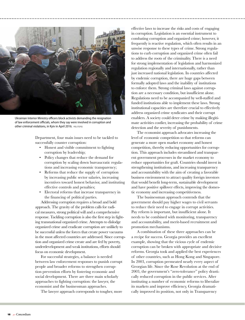

Ukrainian Interior Ministry officers block activists demanding the resignation of law enforcement officials, whom they say were involved in corruption and other criminal violations, in Kyiv in April 2016. REUTERS

Department, four main issues need to be tackled to successfully counter corruption:

- Honest and visible commitment to fighting corruption by leadership;
- Policy changes that reduce the demand for corruption by scaling down bureaucratic regulations and increasing economic transparency;
- Reforms that reduce the supply of corruption by increasing public sector salaries, increasing incentives toward honest behavior, and instituting effective controls and penalties;
- Electoral reforms that increase transparency in the financing of political parties.

Addressing corruption requires a broad and bold approach. The gravity of the problem calls for radical measures, strong political will and a comprehensive response. Tackling corruption is also the first step in fighting transnational organized crime. Attempts to dislodge organized crime and eradicate corruption are unlikely to be successful unless the forces that create power vacuums in the most affected countries are addressed. Since corruption and organized crime create and are fed by poverty, underdevelopment and weak institutions, efforts should focus on economic development.

For successful strategies, a balance is needed between law enforcement responses to punish corrupt people and broader reforms to strengthen corruption prevention efforts by fostering economic and social development. There are three main scholarly approaches to fighting corruption: the lawyer, the economist and the businessman approaches.

The lawyer approach corresponds to tougher, more

effective laws to increase the risks and costs of engaging in corruption. Legislation is an essential instrument to combating corruption and organized crime; however, it frequently is reactive regulation, which often results in an unwise response to these types of crime. Strong regulations to curb corruption and organized crime often fail to address the roots of the criminality. There is a need for strong implementation of legislation and harmonized regulation regionally and internationally, rather than just increased national legislation. In countries affected by endemic corruption, there are huge gaps between formally adopted laws and the inability of institutions to enforce them. Strong criminal laws against corruption are a necessary condition, but insufficient alone. Regulations need to be accompanied by well-staffed and funded institutions able to implement these laws. Strong institutional capacities are therefore crucial to effectively address organized crime syndicates and their corrupt enablers. A society could deter crime by making illegitimate activities costlier, increasing the probability of crime detection and the severity of punishments.

The economist approach advocates increasing the level of economic competition so that reforms can generate a more open market economy and honest competition, thereby reducing opportunities for corruption. This approach includes streamlined and transparent government processes in the market economy to reduce opportunities for graft. Countries should invest in strengthening institutions, and increasing transparency and accountability with the aim of creating a favorable business environment to attract quality foreign investors that would benefit long-term, sustainable development and have positive spillover effects, improving the domestic economy and increasing competitiveness.

The businessman approach contends that the government should pay higher wages to civil servants to reduce their need to engage in corrupt activities. Pay reform is important, but insufficient alone. It needs to be combined with monitoring, transparency and accountability, and merit-based recruitment and promotion mechanisms.

A combination of these three approaches can be a recipe for success. Georgia provides an excellent example, showing that the vicious cycle of endemic corruption can be broken with appropriate and decisive reforms. Georgia took and applied the best experiences of other countries, such as Hong Kong and Singapore. In 2003, corruption permeated nearly every aspect of Georgian life. Since the Rose Revolution at the end of 2003, the government's "zero-tolerance" policy drastically reduced corruption in the public services. After instituting a number of economic reforms to liberalize its markets and improve efficiency, Georgia dramatically improved its position, not only in Transparency